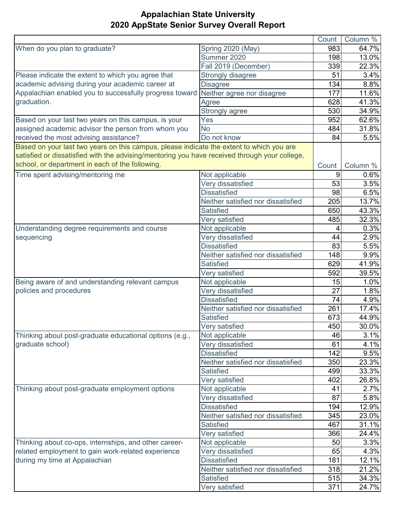|                                                                                               |                                    | Count | Column % |
|-----------------------------------------------------------------------------------------------|------------------------------------|-------|----------|
| When do you plan to graduate?                                                                 | Spring 2020 (May)                  | 983   | 64.7%    |
|                                                                                               | Summer 2020                        | 198   | 13.0%    |
|                                                                                               | Fall 2019 (December)               | 339   | 22.3%    |
| Please indicate the extent to which you agree that                                            | Strongly disagree                  | 51    | 3.4%     |
| academic advising during your academic career at                                              | <b>Disagree</b>                    | 134   | 8.8%     |
| Appalachian enabled you to successfully progress toward                                       | Neither agree nor disagree         | 177   | 11.6%    |
| graduation.                                                                                   | Agree                              | 628   | 41.3%    |
|                                                                                               | Strongly agree                     | 530   | 34.9%    |
| Based on your last two years on this campus, is your                                          | Yes                                | 952   | 62.6%    |
| assigned academic advisor the person from whom you                                            | <b>No</b>                          | 484   | 31.8%    |
| received the most advising assistance?                                                        | Do not know                        | 84    | 5.5%     |
| Based on your last two years on this campus, please indicate the extent to which you are      |                                    |       |          |
| satisfied or dissatisfied with the advising/mentoring you have received through your college, |                                    |       |          |
| school, or department in each of the following.                                               |                                    | Count | Column % |
| Time spent advising/mentoring me                                                              | Not applicable                     | 9     | 0.6%     |
|                                                                                               | Very dissatisfied                  | 53    | 3.5%     |
|                                                                                               | <b>Dissatisfied</b>                | 98    | 6.5%     |
|                                                                                               | Neither satisfied nor dissatisfied | 205   | 13.7%    |
|                                                                                               | Satisfied                          | 650   | 43.3%    |
|                                                                                               | Very satisfied                     | 485   | 32.3%    |
| Understanding degree requirements and course                                                  | Not applicable                     | 4     | 0.3%     |
| sequencing                                                                                    | Very dissatisfied                  | 44    | 2.9%     |
|                                                                                               | <b>Dissatisfied</b>                | 83    | 5.5%     |
|                                                                                               | Neither satisfied nor dissatisfied | 148   | 9.9%     |
|                                                                                               | <b>Satisfied</b>                   | 629   | 41.9%    |
|                                                                                               | Very satisfied                     | 592   | 39.5%    |
| Being aware of and understanding relevant campus                                              | Not applicable                     | 15    | 1.0%     |
| policies and procedures                                                                       | Very dissatisfied                  | 27    | 1.8%     |
|                                                                                               | <b>Dissatisfied</b>                | 74    | 4.9%     |
|                                                                                               | Neither satisfied nor dissatisfied | 261   | 17.4%    |
|                                                                                               | <b>Satisfied</b>                   | 673   | 44.9%    |
|                                                                                               | Very satisfied                     | 450   | 30.0%    |
| Thinking about post-graduate educational options (e.g.,                                       | Not applicable                     | 46    | 3.1%     |
| graduate school)                                                                              | Very dissatisfied                  | 61    | 4.1%     |
|                                                                                               | <b>Dissatisfied</b>                | 142   | 9.5%     |
|                                                                                               | Neither satisfied nor dissatisfied | 350   | 23.3%    |
|                                                                                               | <b>Satisfied</b>                   | 499   | 33.3%    |
|                                                                                               | Very satisfied                     | 402   | 26.8%    |
| Thinking about post-graduate employment options                                               | Not applicable                     | 41    | 2.7%     |
|                                                                                               | Very dissatisfied                  | 87    | 5.8%     |
|                                                                                               | <b>Dissatisfied</b>                | 194   | 12.9%    |
|                                                                                               | Neither satisfied nor dissatisfied | 345   | 23.0%    |
|                                                                                               | <b>Satisfied</b>                   | 467   | 31.1%    |
|                                                                                               | Very satisfied                     | 366   | 24.4%    |
| Thinking about co-ops, internships, and other career-                                         | Not applicable                     | 50    | 3.3%     |
| related employment to gain work-related experience                                            | Very dissatisfied                  | 65    | 4.3%     |
| during my time at Appalachian                                                                 | <b>Dissatisfied</b>                | 181   | 12.1%    |
|                                                                                               | Neither satisfied nor dissatisfied | 318   | 21.2%    |
|                                                                                               | <b>Satisfied</b>                   | 515   | 34.3%    |
|                                                                                               | Very satisfied                     | 371   | 24.7%    |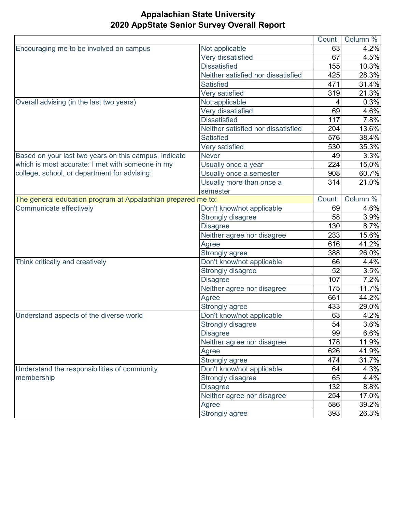|                                                              |                                    | Count | Column % |
|--------------------------------------------------------------|------------------------------------|-------|----------|
| Encouraging me to be involved on campus                      | Not applicable                     | 63    | 4.2%     |
|                                                              | Very dissatisfied                  | 67    | 4.5%     |
|                                                              | <b>Dissatisfied</b>                | 155   | 10.3%    |
|                                                              | Neither satisfied nor dissatisfied | 425   | 28.3%    |
|                                                              | <b>Satisfied</b>                   | 471   | 31.4%    |
|                                                              | Very satisfied                     | 319   | 21.3%    |
| Overall advising (in the last two years)                     | Not applicable                     |       | 0.3%     |
|                                                              | Very dissatisfied                  | 69    | 4.6%     |
|                                                              | <b>Dissatisfied</b>                | 117   | 7.8%     |
|                                                              | Neither satisfied nor dissatisfied | 204   | 13.6%    |
|                                                              | <b>Satisfied</b>                   | 576   | 38.4%    |
|                                                              | Very satisfied                     | 530   | 35.3%    |
| Based on your last two years on this campus, indicate        | <b>Never</b>                       | 49    | 3.3%     |
| which is most accurate: I met with someone in my             | Usually once a year                | 224   | 15.0%    |
| college, school, or department for advising:                 | Usually once a semester            | 908   | 60.7%    |
|                                                              | Usually more than once a           | 314   | 21.0%    |
|                                                              | semester                           |       |          |
| The general education program at Appalachian prepared me to: |                                    | Count | Column % |
| Communicate effectively                                      | Don't know/not applicable          | 69    | 4.6%     |
|                                                              | <b>Strongly disagree</b>           | 58    | 3.9%     |
|                                                              | <b>Disagree</b>                    | 130   | 8.7%     |
|                                                              | Neither agree nor disagree         | 233   | 15.6%    |
|                                                              | Agree                              | 616   | 41.2%    |
|                                                              | Strongly agree                     | 388   | 26.0%    |
| Think critically and creatively                              | Don't know/not applicable          | 66    | 4.4%     |
|                                                              | Strongly disagree                  | 52    | 3.5%     |
|                                                              | <b>Disagree</b>                    | 107   | 7.2%     |
|                                                              | Neither agree nor disagree         | 175   | 11.7%    |
|                                                              | Agree                              | 661   | 44.2%    |
|                                                              | Strongly agree                     | 433   | 29.0%    |
| Understand aspects of the diverse world                      | Don't know/not applicable          | 63    | 4.2%     |
|                                                              | Strongly disagree                  | 54    | 3.6%     |
|                                                              | <b>Disagree</b>                    | 99    | 6.6%     |
|                                                              | Neither agree nor disagree         | 178   | 11.9%    |
|                                                              | Agree                              | 626   | 41.9%    |
|                                                              | Strongly agree                     | 474   | 31.7%    |
| Understand the responsibilities of community                 | Don't know/not applicable          | 64    | 4.3%     |
| membership                                                   | Strongly disagree                  | 65    | 4.4%     |
|                                                              | <b>Disagree</b>                    | 132   | 8.8%     |
|                                                              | Neither agree nor disagree         | 254   | 17.0%    |
|                                                              | Agree                              | 586   | 39.2%    |
|                                                              | Strongly agree                     | 393   | 26.3%    |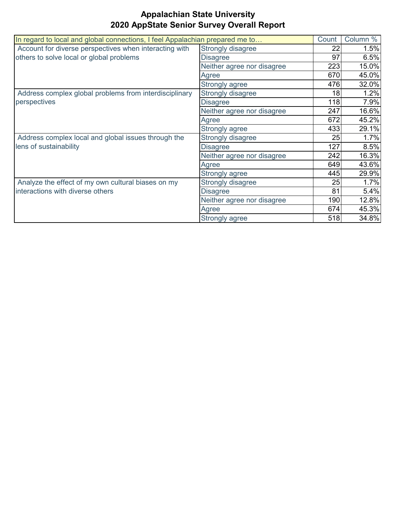| In regard to local and global connections, I feel Appalachian prepared me to                       |                            | Count | Column % |
|----------------------------------------------------------------------------------------------------|----------------------------|-------|----------|
| Account for diverse perspectives when interacting with<br>others to solve local or global problems | Strongly disagree          | 22    | 1.5%     |
|                                                                                                    | <b>Disagree</b>            | 97    | 6.5%     |
|                                                                                                    | Neither agree nor disagree | 223   | 15.0%    |
|                                                                                                    | Agree                      | 670   | 45.0%    |
|                                                                                                    | Strongly agree             | 476   | 32.0%    |
| Address complex global problems from interdisciplinary                                             | Strongly disagree          | 18    | 1.2%     |
| perspectives                                                                                       | <b>Disagree</b>            | 118   | 7.9%     |
|                                                                                                    | Neither agree nor disagree | 247   | 16.6%    |
|                                                                                                    | Agree                      | 672   | 45.2%    |
|                                                                                                    | Strongly agree             | 433   | 29.1%    |
| Address complex local and global issues through the                                                | Strongly disagree          | 25    | 1.7%     |
| lens of sustainability                                                                             | <b>Disagree</b>            | 127   | 8.5%     |
|                                                                                                    | Neither agree nor disagree | 242   | 16.3%    |
|                                                                                                    | Agree                      | 649   | 43.6%    |
|                                                                                                    | Strongly agree             | 445   | 29.9%    |
| Analyze the effect of my own cultural biases on my                                                 | Strongly disagree          | 25    | 1.7%     |
| interactions with diverse others                                                                   | <b>Disagree</b>            | 81    | 5.4%     |
|                                                                                                    | Neither agree nor disagree | 190   | 12.8%    |
|                                                                                                    | Agree                      | 674   | 45.3%    |
|                                                                                                    | Strongly agree             | 518   | 34.8%    |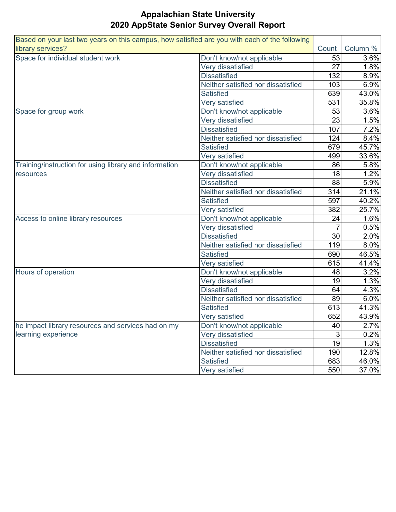| Based on your last two years on this campus, how satisfied are you with each of the following |                                    |       |          |
|-----------------------------------------------------------------------------------------------|------------------------------------|-------|----------|
| library services?                                                                             |                                    | Count | Column % |
| Space for individual student work                                                             | Don't know/not applicable          | 53    | 3.6%     |
|                                                                                               | Very dissatisfied                  | 27    | 1.8%     |
|                                                                                               | <b>Dissatisfied</b>                | 132   | 8.9%     |
|                                                                                               | Neither satisfied nor dissatisfied | 103   | 6.9%     |
|                                                                                               | <b>Satisfied</b>                   | 639   | 43.0%    |
|                                                                                               | Very satisfied                     | 531   | 35.8%    |
| Space for group work                                                                          | Don't know/not applicable          | 53    | 3.6%     |
|                                                                                               | Very dissatisfied                  | 23    | 1.5%     |
|                                                                                               | <b>Dissatisfied</b>                | 107   | 7.2%     |
|                                                                                               | Neither satisfied nor dissatisfied | 124   | 8.4%     |
|                                                                                               | <b>Satisfied</b>                   | 679   | 45.7%    |
|                                                                                               | Very satisfied                     | 499   | 33.6%    |
| Training/instruction for using library and information                                        | Don't know/not applicable          | 86    | 5.8%     |
| resources                                                                                     | Very dissatisfied                  | 18    | 1.2%     |
|                                                                                               | <b>Dissatisfied</b>                | 88    | 5.9%     |
|                                                                                               | Neither satisfied nor dissatisfied | 314   | 21.1%    |
|                                                                                               | <b>Satisfied</b>                   | 597   | 40.2%    |
|                                                                                               | Very satisfied                     | 382   | 25.7%    |
| Access to online library resources                                                            | Don't know/not applicable          | 24    | 1.6%     |
|                                                                                               | Very dissatisfied                  |       | 0.5%     |
|                                                                                               | <b>Dissatisfied</b>                | 30    | 2.0%     |
|                                                                                               | Neither satisfied nor dissatisfied | 119   | 8.0%     |
|                                                                                               | <b>Satisfied</b>                   | 690   | 46.5%    |
|                                                                                               | Very satisfied                     | 615   | 41.4%    |
| Hours of operation                                                                            | Don't know/not applicable          | 48    | 3.2%     |
|                                                                                               | Very dissatisfied                  | 19    | 1.3%     |
|                                                                                               | <b>Dissatisfied</b>                | 64    | 4.3%     |
|                                                                                               | Neither satisfied nor dissatisfied | 89    | 6.0%     |
|                                                                                               | <b>Satisfied</b>                   | 613   | 41.3%    |
|                                                                                               | Very satisfied                     | 652   | 43.9%    |
| he impact library resources and services had on my                                            | Don't know/not applicable          | 40    | 2.7%     |
| learning experience                                                                           | Very dissatisfied                  | 3     | 0.2%     |
|                                                                                               | <b>Dissatisfied</b>                | 19    | 1.3%     |
|                                                                                               | Neither satisfied nor dissatisfied | 190   | 12.8%    |
|                                                                                               | <b>Satisfied</b>                   | 683   | 46.0%    |
|                                                                                               | Very satisfied                     | 550   | 37.0%    |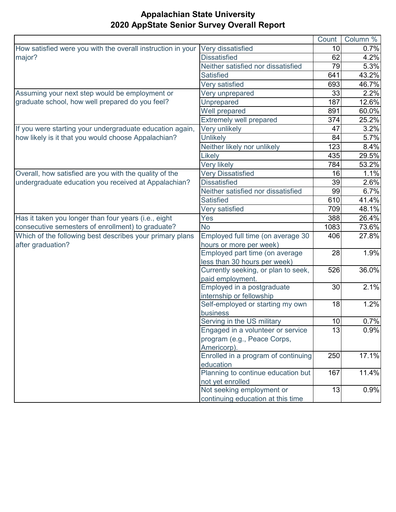|                                                             |                                               | Count | Column % |
|-------------------------------------------------------------|-----------------------------------------------|-------|----------|
| How satisfied were you with the overall instruction in your | Very dissatisfied                             | 10    | 0.7%     |
| major?                                                      | <b>Dissatisfied</b>                           | 62    | 4.2%     |
|                                                             | Neither satisfied nor dissatisfied            | 79    | 5.3%     |
|                                                             | <b>Satisfied</b>                              | 641   | 43.2%    |
|                                                             | Very satisfied                                | 693   | 46.7%    |
| Assuming your next step would be employment or              | Very unprepared                               | 33    | 2.2%     |
| graduate school, how well prepared do you feel?             | Unprepared                                    | 187   | 12.6%    |
|                                                             | Well prepared                                 | 891   | 60.0%    |
|                                                             | <b>Extremely well prepared</b>                | 374   | 25.2%    |
| If you were starting your undergraduate education again,    | Very unlikely                                 | 47    | 3.2%     |
| how likely is it that you would choose Appalachian?         | <b>Unlikely</b>                               | 84    | 5.7%     |
|                                                             | Neither likely nor unlikely                   | 123   | 8.4%     |
|                                                             | Likely                                        | 435   | 29.5%    |
|                                                             | Very likely                                   | 784   | 53.2%    |
| Overall, how satisfied are you with the quality of the      | <b>Very Dissatisfied</b>                      | 16    | 1.1%     |
| undergraduate education you received at Appalachian?        | <b>Dissatisfied</b>                           | 39    | 2.6%     |
|                                                             | Neither satisfied nor dissatisfied            | 99    | 6.7%     |
|                                                             | <b>Satisfied</b>                              | 610   | 41.4%    |
|                                                             | Very satisfied                                | 709   | 48.1%    |
| Has it taken you longer than four years (i.e., eight        | Yes                                           | 388   | 26.4%    |
| consecutive semesters of enrollment) to graduate?           | <b>No</b>                                     | 1083  | 73.6%    |
| Which of the following best describes your primary plans    | Employed full time (on average 30             | 406   | 27.8%    |
| after graduation?                                           | hours or more per week)                       |       |          |
|                                                             | Employed part time (on average                | 28    | 1.9%     |
|                                                             | less than 30 hours per week)                  |       |          |
|                                                             | Currently seeking, or plan to seek,           | 526   | 36.0%    |
|                                                             | paid employment.                              |       |          |
|                                                             | Employed in a postgraduate                    | 30    | 2.1%     |
|                                                             | internship or fellowship                      |       |          |
|                                                             | Self-employed or starting my own              | 18    | 1.2%     |
|                                                             | business                                      |       |          |
|                                                             | Serving in the US military                    | 10    | 0.7%     |
|                                                             | Engaged in a volunteer or service             | 13    | 0.9%     |
|                                                             | program (e.g., Peace Corps,                   |       |          |
|                                                             | Americorp).                                   |       |          |
|                                                             | Enrolled in a program of continuing           | 250   | 17.1%    |
|                                                             | education                                     |       |          |
|                                                             | Planning to continue education but            | 167   | 11.4%    |
|                                                             | not yet enrolled<br>Not seeking employment or | 13    | 0.9%     |
|                                                             |                                               |       |          |
|                                                             | continuing education at this time             |       |          |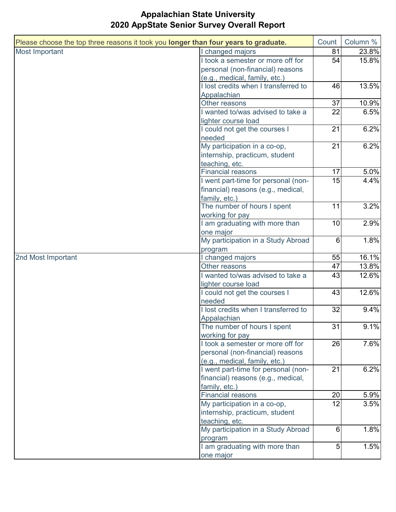| Please choose the top three reasons it took you longer than four years to graduate. |                                      | Count           | Column % |
|-------------------------------------------------------------------------------------|--------------------------------------|-----------------|----------|
| Most Important                                                                      | I changed majors                     | 81              | 23.8%    |
|                                                                                     | I took a semester or more off for    | 54              | 15.8%    |
|                                                                                     | personal (non-financial) reasons     |                 |          |
|                                                                                     | (e.g., medical, family, etc.)        |                 |          |
|                                                                                     | I lost credits when I transferred to | 46              | 13.5%    |
|                                                                                     | Appalachian                          |                 |          |
|                                                                                     | Other reasons                        | 37              | 10.9%    |
|                                                                                     | I wanted to/was advised to take a    | 22              | 6.5%     |
|                                                                                     | lighter course load                  |                 |          |
|                                                                                     | I could not get the courses I        | 21              | 6.2%     |
|                                                                                     | needed                               |                 |          |
|                                                                                     | My participation in a co-op,         | 21              | 6.2%     |
|                                                                                     | internship, practicum, student       |                 |          |
|                                                                                     | teaching, etc.                       |                 |          |
|                                                                                     | <b>Financial reasons</b>             | 17              | 5.0%     |
|                                                                                     | I went part-time for personal (non-  | 15              | 4.4%     |
|                                                                                     | financial) reasons (e.g., medical,   |                 |          |
|                                                                                     | family, etc.)                        |                 |          |
|                                                                                     | The number of hours I spent          | 11              | 3.2%     |
|                                                                                     | working for pay                      |                 |          |
|                                                                                     | I am graduating with more than       | 10              | 2.9%     |
|                                                                                     | one major                            |                 |          |
|                                                                                     | My participation in a Study Abroad   | 6               | 1.8%     |
|                                                                                     | program                              |                 |          |
| 2nd Most Important                                                                  | I changed majors                     | 55              | 16.1%    |
|                                                                                     | Other reasons                        | 47              | 13.8%    |
|                                                                                     | I wanted to/was advised to take a    | 43              | 12.6%    |
|                                                                                     | lighter course load                  |                 |          |
|                                                                                     | I could not get the courses I        | 43              | 12.6%    |
|                                                                                     | needed                               |                 |          |
|                                                                                     | I lost credits when I transferred to | 32              | 9.4%     |
|                                                                                     | Appalachian                          |                 |          |
|                                                                                     | The number of hours I spent          | $\overline{31}$ | 9.1%     |
|                                                                                     | working for pay                      |                 |          |
|                                                                                     | I took a semester or more off for    | 26              | 7.6%     |
|                                                                                     | personal (non-financial) reasons     |                 |          |
|                                                                                     | (e.g., medical, family, etc.)        |                 |          |
|                                                                                     | I went part-time for personal (non-  | 21              | 6.2%     |
|                                                                                     | financial) reasons (e.g., medical,   |                 |          |
|                                                                                     | family, etc.)                        |                 |          |
|                                                                                     | <b>Financial reasons</b>             | 20              | 5.9%     |
|                                                                                     | My participation in a co-op,         | 12              | 3.5%     |
|                                                                                     | internship, practicum, student       |                 |          |
|                                                                                     | teaching, etc.                       |                 |          |
|                                                                                     | My participation in a Study Abroad   | 6               | 1.8%     |
|                                                                                     | program                              |                 |          |
|                                                                                     | I am graduating with more than       | 5               | 1.5%     |
|                                                                                     |                                      |                 |          |
|                                                                                     | one major                            |                 |          |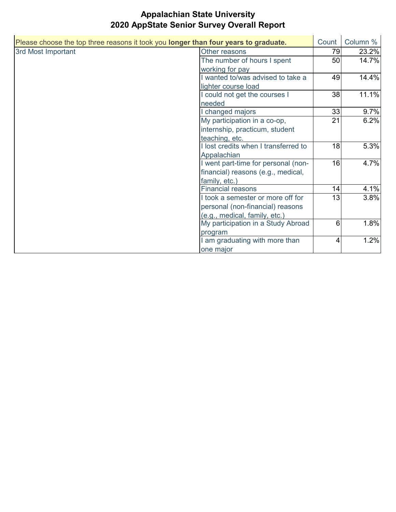| Please choose the top three reasons it took you longer than four years to graduate. |                                      | Count          | Column % |
|-------------------------------------------------------------------------------------|--------------------------------------|----------------|----------|
| 3rd Most Important                                                                  | Other reasons                        | 79             | 23.2%    |
|                                                                                     | The number of hours I spent          | 50             | 14.7%    |
|                                                                                     | working for pay                      |                |          |
|                                                                                     | wanted to/was advised to take a      | 49             | 14.4%    |
|                                                                                     | lighter course load                  |                |          |
|                                                                                     | could not get the courses I          | 38             | 11.1%    |
|                                                                                     | needed                               |                |          |
|                                                                                     | changed majors                       | 33             | 9.7%     |
|                                                                                     | My participation in a co-op,         | 21             | 6.2%     |
|                                                                                     | internship, practicum, student       |                |          |
|                                                                                     | teaching, etc.                       |                |          |
|                                                                                     | I lost credits when I transferred to | 18             | 5.3%     |
|                                                                                     | Appalachian                          |                |          |
|                                                                                     | went part-time for personal (non-    | 16             | 4.7%     |
|                                                                                     | financial) reasons (e.g., medical,   |                |          |
|                                                                                     | family, etc.)                        |                |          |
|                                                                                     | <b>Financial reasons</b>             | 14             | 4.1%     |
|                                                                                     | I took a semester or more off for    | 13             | 3.8%     |
|                                                                                     | personal (non-financial) reasons     |                |          |
|                                                                                     | (e.g., medical, family, etc.)        |                |          |
|                                                                                     | My participation in a Study Abroad   | 6              | 1.8%     |
|                                                                                     | program                              |                |          |
|                                                                                     | am graduating with more than         | $\overline{4}$ | 1.2%     |
|                                                                                     | one major                            |                |          |